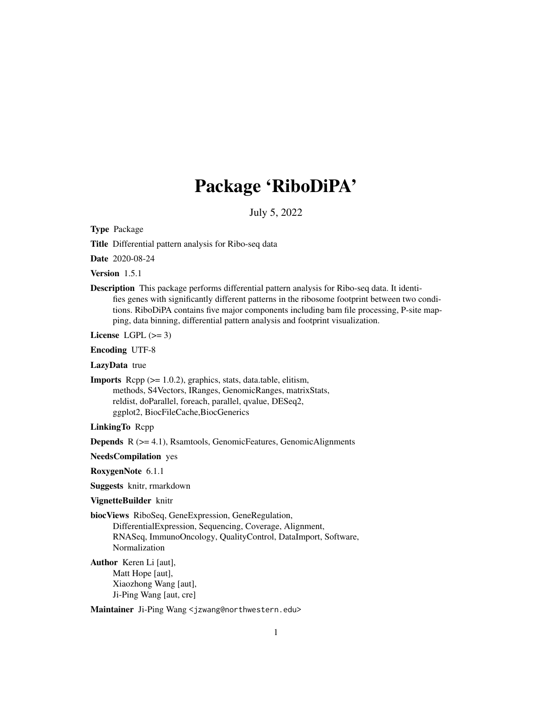## Package 'RiboDiPA'

July 5, 2022

<span id="page-0-0"></span>Type Package

Title Differential pattern analysis for Ribo-seq data

Date 2020-08-24

Version 1.5.1

Description This package performs differential pattern analysis for Ribo-seq data. It identifies genes with significantly different patterns in the ribosome footprint between two conditions. RiboDiPA contains five major components including bam file processing, P-site mapping, data binning, differential pattern analysis and footprint visualization.

License LGPL  $(>= 3)$ 

Encoding UTF-8

LazyData true

Imports Rcpp (>= 1.0.2), graphics, stats, data.table, elitism, methods, S4Vectors, IRanges, GenomicRanges, matrixStats, reldist, doParallel, foreach, parallel, qvalue, DESeq2, ggplot2, BiocFileCache,BiocGenerics

LinkingTo Rcpp

Depends R (>= 4.1), Rsamtools, GenomicFeatures, GenomicAlignments

NeedsCompilation yes

RoxygenNote 6.1.1

Suggests knitr, rmarkdown

#### VignetteBuilder knitr

biocViews RiboSeq, GeneExpression, GeneRegulation,

DifferentialExpression, Sequencing, Coverage, Alignment, RNASeq, ImmunoOncology, QualityControl, DataImport, Software, Normalization

Author Keren Li [aut], Matt Hope [aut], Xiaozhong Wang [aut], Ji-Ping Wang [aut, cre]

Maintainer Ji-Ping Wang <jzwang@northwestern.edu>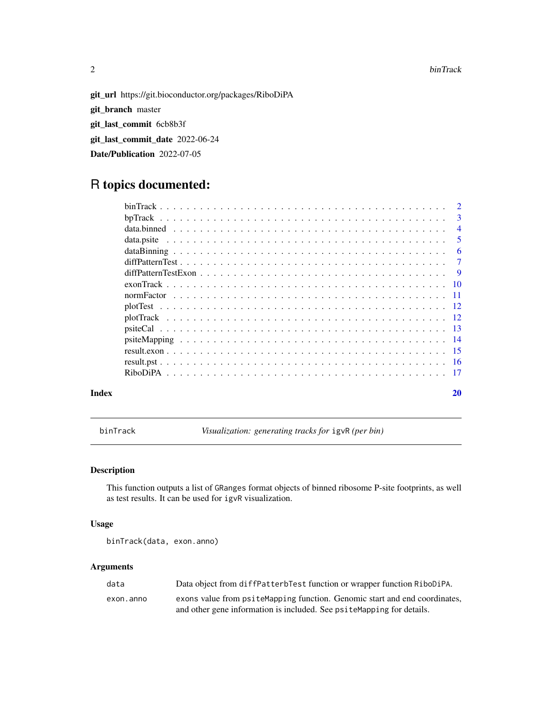#### 2 binTrack

git\_url https://git.bioconductor.org/packages/RiboDiPA git\_branch master git\_last\_commit 6cb8b3f git\_last\_commit\_date 2022-06-24 Date/Publication 2022-07-05

### R topics documented:

|       | $\mathbf{3}$   |
|-------|----------------|
|       | $\overline{4}$ |
|       | - 5            |
|       |                |
|       |                |
|       |                |
|       |                |
|       |                |
|       |                |
|       |                |
|       |                |
|       |                |
|       |                |
|       |                |
|       |                |
| Index | 20             |

binTrack *Visualization: generating tracks for* igvR *(per bin)*

### Description

This function outputs a list of GRanges format objects of binned ribosome P-site footprints, as well as test results. It can be used for igvR visualization.

#### Usage

```
binTrack(data, exon.anno)
```
#### Arguments

| data      | Data object from diffPatterbTest function or wrapper function RiboDiPA.    |
|-----------|----------------------------------------------------------------------------|
| exon.anno | exons value from psiteMapping function. Genomic start and end coordinates, |
|           | and other gene information is included. See psiteMapping for details.      |

<span id="page-1-0"></span>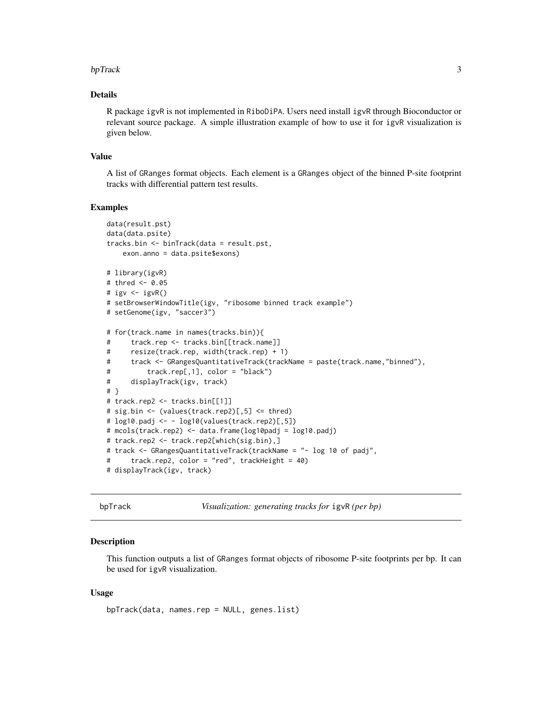#### <span id="page-2-0"></span>bpTrack 3

#### Details

R package igvR is not implemented in RiboDiPA. Users need install igvR through Bioconductor or relevant source package. A simple illustration example of how to use it for igvR visualization is given below.

#### Value

A list of GRanges format objects. Each element is a GRanges object of the binned P-site footprint tracks with differential pattern test results.

#### Examples

```
data(result.pst)
data(data.psite)
tracks.bin <- binTrack(data = result.pst,
   exon.anno = data.psite$exons)
# library(igvR)
# thred <- 0.05
# igv \leftarrow igvR()
# setBrowserWindowTitle(igv, "ribosome binned track example")
# setGenome(igv, "saccer3")
# for(track.name in names(tracks.bin)){
# track.rep <- tracks.bin[[track.name]]
# resize(track.rep, width(track.rep) + 1)
# track <- GRangesQuantitativeTrack(trackName = paste(track.name,"binned"),
# track.rep[,1], color = "black")
# displayTrack(igv, track)
# }
# track.rep2 <- tracks.bin[[1]]
# sig.bin <- (values(track.rep2)[,5] <= thred)
# log10.padj <- - log10(values(track.rep2)[,5])
# mcols(track.rep2) <- data.frame(log10padj = log10.padj)
# track.rep2 <- track.rep2[which(sig.bin),]
# track <- GRangesQuantitativeTrack(trackName = "- log 10 of padj",
# track.rep2, color = "red", trackHeight = 40)
# displayTrack(igv, track)
```
bpTrack *Visualization: generating tracks for* igvR *(per bp)*

#### Description

This function outputs a list of GRanges format objects of ribosome P-site footprints per bp. It can be used for igvR visualization.

#### Usage

bpTrack(data, names.rep = NULL, genes.list)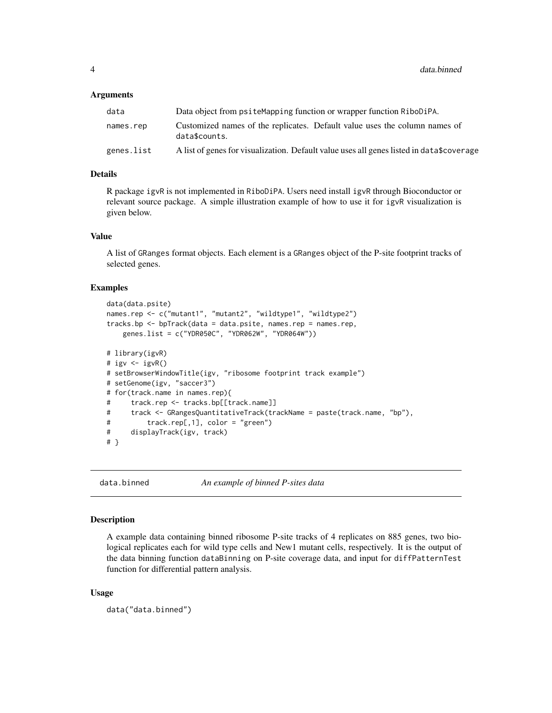#### <span id="page-3-0"></span>Arguments

| data       | Data object from psite Mapping function or wrapper function RiboDiPA.                       |
|------------|---------------------------------------------------------------------------------------------|
| names.rep  | Customized names of the replicates. Default value uses the column names of<br>data\$counts. |
| genes.list | A list of genes for visualization. Default value uses all genes listed in data\$coverage    |

#### Details

R package igvR is not implemented in RiboDiPA. Users need install igvR through Bioconductor or relevant source package. A simple illustration example of how to use it for igvR visualization is given below.

#### Value

A list of GRanges format objects. Each element is a GRanges object of the P-site footprint tracks of selected genes.

#### Examples

```
data(data.psite)
names.rep <- c("mutant1", "mutant2", "wildtype1", "wildtype2")
tracks.bp \leq bpTrack(data = data.psite, names.rep = names.rep,
   genes.list = c("YDR050C", "YDR062W", "YDR064W"))
# library(igvR)
# igv \leftarrow igvR()
# setBrowserWindowTitle(igv, "ribosome footprint track example")
# setGenome(igv, "saccer3")
# for(track.name in names.rep){
# track.rep <- tracks.bp[[track.name]]
# track <- GRangesQuantitativeTrack(trackName = paste(track.name, "bp"),
# track.rep[,1], color = "green")
# displayTrack(igv, track)
# }
```
data.binned *An example of binned P-sites data*

#### Description

A example data containing binned ribosome P-site tracks of 4 replicates on 885 genes, two biological replicates each for wild type cells and New1 mutant cells, respectively. It is the output of the data binning function dataBinning on P-site coverage data, and input for diffPatternTest function for differential pattern analysis.

#### Usage

data("data.binned")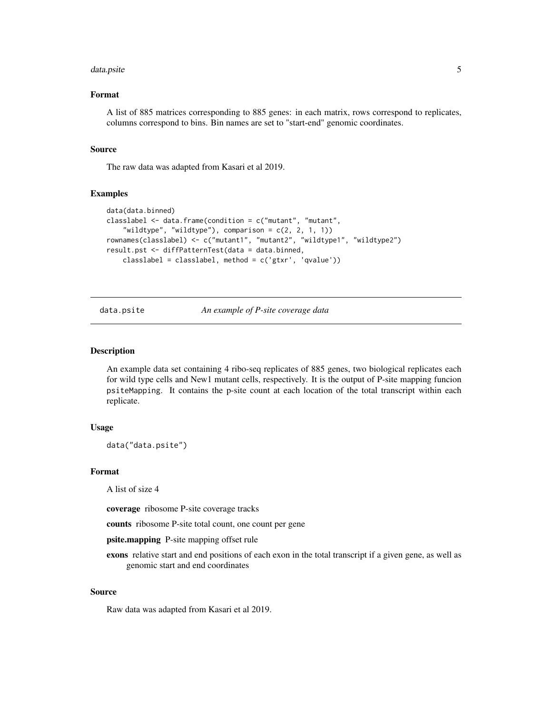#### <span id="page-4-0"></span>data.psite 5

#### Format

A list of 885 matrices corresponding to 885 genes: in each matrix, rows correspond to replicates, columns correspond to bins. Bin names are set to "start-end" genomic coordinates.

#### Source

The raw data was adapted from Kasari et al 2019.

#### Examples

```
data(data.binned)
classlabel <- data.frame(condition = c("mutant", "mutant",
    "wildtype", "wildtype"), comparison = c(2, 2, 1, 1))
rownames(classlabel) <- c("mutant1", "mutant2", "wildtype1", "wildtype2")
result.pst <- diffPatternTest(data = data.binned,
    classlabel = classlabel, method = c('gtxr', 'qvalue'))
```
data.psite *An example of P-site coverage data*

#### Description

An example data set containing 4 ribo-seq replicates of 885 genes, two biological replicates each for wild type cells and New1 mutant cells, respectively. It is the output of P-site mapping funcion psiteMapping. It contains the p-site count at each location of the total transcript within each replicate.

#### Usage

data("data.psite")

#### Format

A list of size 4

coverage ribosome P-site coverage tracks

counts ribosome P-site total count, one count per gene

psite.mapping P-site mapping offset rule

exons relative start and end positions of each exon in the total transcript if a given gene, as well as genomic start and end coordinates

#### Source

Raw data was adapted from Kasari et al 2019.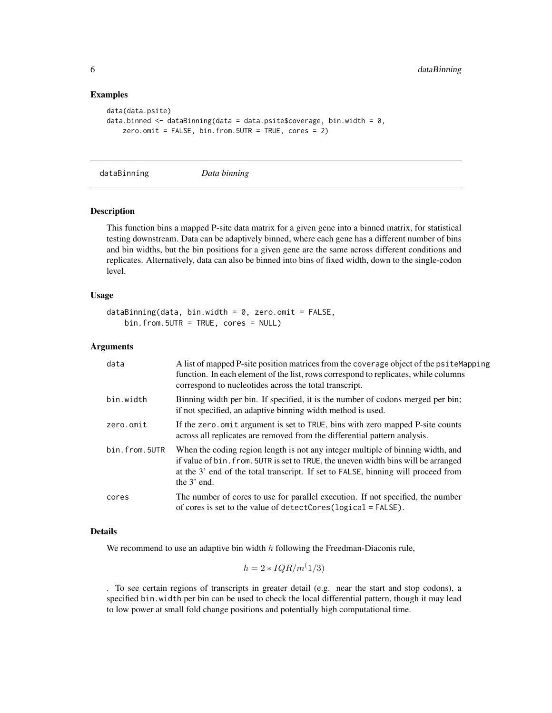#### Examples

```
data(data.psite)
data.binned \leq dataBinning(data = data.psite$coverage, bin.width = 0,
    zero.omit = FALSE, bin.from.5UTR = TRUE, cores = 2)
```
<span id="page-5-1"></span>dataBinning *Data binning*

#### Description

This function bins a mapped P-site data matrix for a given gene into a binned matrix, for statistical testing downstream. Data can be adaptively binned, where each gene has a different number of bins and bin widths, but the bin positions for a given gene are the same across different conditions and replicates. Alternatively, data can also be binned into bins of fixed width, down to the single-codon level.

#### Usage

```
dataBinning(data, bin.width = 0, zero.omit = FALSE,
   bin.from.5UTR = TRUE, cores = NULL)
```
#### Arguments

| data          | A list of mapped P-site position matrices from the coverage object of the psite Mapping<br>function. In each element of the list, rows correspond to replicates, while columns<br>correspond to nucleotides across the total transcript.                                    |
|---------------|-----------------------------------------------------------------------------------------------------------------------------------------------------------------------------------------------------------------------------------------------------------------------------|
| bin.width     | Binning width per bin. If specified, it is the number of codons merged per bin;<br>if not specified, an adaptive binning width method is used.                                                                                                                              |
| zero.omit     | If the zero, omit argument is set to TRUE, bins with zero mapped P-site counts<br>across all replicates are removed from the differential pattern analysis.                                                                                                                 |
| bin.from.5UTR | When the coding region length is not any integer multiple of binning width, and<br>if value of bin. from. 5UTR is set to TRUE, the uneven width bins will be arranged<br>at the 3' end of the total transcript. If set to FALSE, binning will proceed from<br>the $3'$ end. |
| cores         | The number of cores to use for parallel execution. If not specified, the number<br>of cores is set to the value of detectCores ( $logical = FALSE$ ).                                                                                                                       |

#### Details

We recommend to use an adaptive bin width  $h$  following the Freedman-Diaconis rule,

$$
h = 2 * IQR/m^(1/3)
$$

. To see certain regions of transcripts in greater detail (e.g. near the start and stop codons), a specified bin.width per bin can be used to check the local differential pattern, though it may lead to low power at small fold change positions and potentially high computational time.

<span id="page-5-0"></span>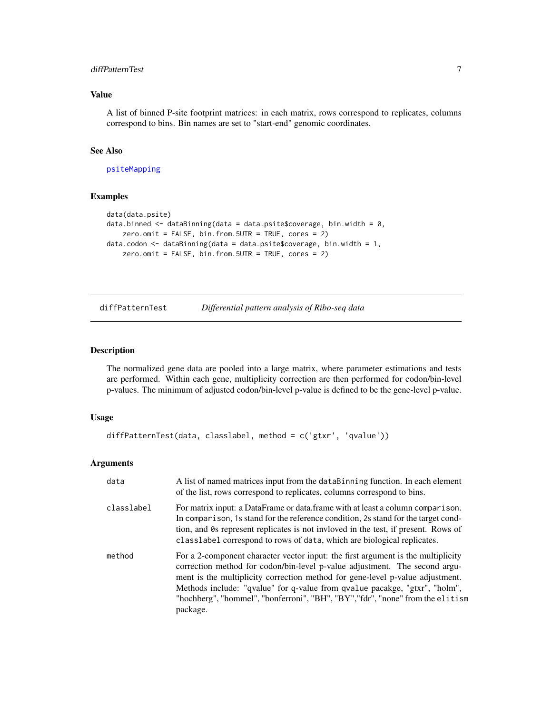#### <span id="page-6-0"></span>diffPatternTest 7

#### Value

A list of binned P-site footprint matrices: in each matrix, rows correspond to replicates, columns correspond to bins. Bin names are set to "start-end" genomic coordinates.

#### See Also

[psiteMapping](#page-13-1)

#### Examples

```
data(data.psite)
data.binned \leq dataBinning(data = data.psite$coverage, bin.width = 0,
   zero.omit = FALSE, bin.from.5UTR = TRUE, cores = 2)
data.codon \leq dataBinning(data = data.psite$coverage, bin.width = 1,
   zero.omit = FALSE, bin.from.5UTR = TRUE, cores = 2)
```
<span id="page-6-1"></span>diffPatternTest *Differential pattern analysis of Ribo-seq data*

#### Description

The normalized gene data are pooled into a large matrix, where parameter estimations and tests are performed. Within each gene, multiplicity correction are then performed for codon/bin-level p-values. The minimum of adjusted codon/bin-level p-value is defined to be the gene-level p-value.

#### Usage

```
diffPatternTest(data, classlabel, method = c('gtxr', 'qvalue'))
```
#### Arguments

| data       | A list of named matrices input from the dataBinning function. In each element<br>of the list, rows correspond to replicates, columns correspond to bins.                                                                                                                                                                                                                                                                    |
|------------|-----------------------------------------------------------------------------------------------------------------------------------------------------------------------------------------------------------------------------------------------------------------------------------------------------------------------------------------------------------------------------------------------------------------------------|
| classlabel | For matrix input: a DataFrame or data.frame with at least a column comparison.<br>In comparison, 1s stand for the reference condition, 2s stand for the target cond-<br>tion, and 0s represent replicates is not invloved in the test, if present. Rows of<br>classlabel correspond to rows of data, which are biological replicates.                                                                                       |
| method     | For a 2-component character vector input: the first argument is the multiplicity<br>correction method for codon/bin-level p-value adjustment. The second argu-<br>ment is the multiplicity correction method for gene-level p-value adjustment.<br>Methods include: "qvalue" for q-value from qvalue pacakge, "gtxr", "holm",<br>"hochberg", "hommel", "bonferroni", "BH", "BY", "fdr", "none" from the elitism<br>package. |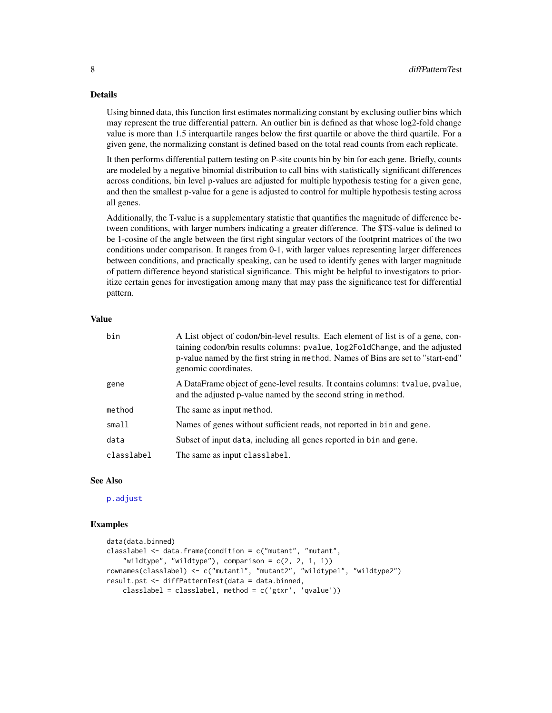#### Details

Using binned data, this function first estimates normalizing constant by exclusing outlier bins which may represent the true differential pattern. An outlier bin is defined as that whose log2-fold change value is more than 1.5 interquartile ranges below the first quartile or above the third quartile. For a given gene, the normalizing constant is defined based on the total read counts from each replicate.

It then performs differential pattern testing on P-site counts bin by bin for each gene. Briefly, counts are modeled by a negative binomial distribution to call bins with statistically significant differences across conditions, bin level p-values are adjusted for multiple hypothesis testing for a given gene, and then the smallest p-value for a gene is adjusted to control for multiple hypothesis testing across all genes.

Additionally, the T-value is a supplementary statistic that quantifies the magnitude of difference between conditions, with larger numbers indicating a greater difference. The \$T\$-value is defined to be 1-cosine of the angle between the first right singular vectors of the footprint matrices of the two conditions under comparison. It ranges from 0-1, with larger values representing larger differences between conditions, and practically speaking, can be used to identify genes with larger magnitude of pattern difference beyond statistical significance. This might be helpful to investigators to prioritize certain genes for investigation among many that may pass the significance test for differential pattern.

#### Value

| bin        | A List object of codon/bin-level results. Each element of list is of a gene, con-<br>taining codon/bin results columns: pvalue, log2FoldChange, and the adjusted<br>p-value named by the first string in method. Names of Bins are set to "start-end"<br>genomic coordinates. |
|------------|-------------------------------------------------------------------------------------------------------------------------------------------------------------------------------------------------------------------------------------------------------------------------------|
| gene       | A DataFrame object of gene-level results. It contains columns: tvalue, pvalue,<br>and the adjusted p-value named by the second string in method.                                                                                                                              |
| method     | The same as input method.                                                                                                                                                                                                                                                     |
| small      | Names of genes without sufficient reads, not reported in bin and gene.                                                                                                                                                                                                        |
| data       | Subset of input data, including all genes reported in bin and gene.                                                                                                                                                                                                           |
| classlabel | The same as input classlabel.                                                                                                                                                                                                                                                 |

#### See Also

[p.adjust](#page-0-0)

```
data(data.binned)
classlabel <- data.frame(condition = c("mutant", "mutant",
    "wildtype", "wildtype"), comparison = c(2, 2, 1, 1))
rownames(classlabel) <- c("mutant1", "mutant2", "wildtype1", "wildtype2")
result.pst <- diffPatternTest(data = data.binned,
   classlabel = classlabel, method = c('gtxr', 'qvalue'))
```
<span id="page-7-0"></span>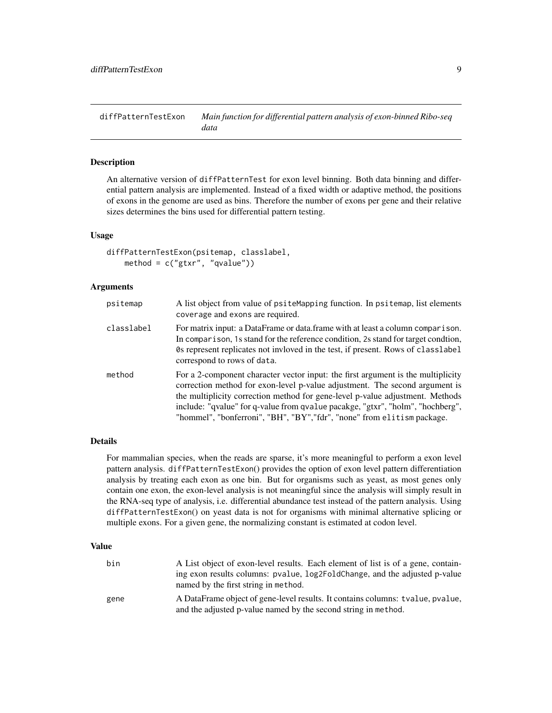<span id="page-8-1"></span><span id="page-8-0"></span>diffPatternTestExon *Main function for differential pattern analysis of exon-binned Ribo-seq data*

#### Description

An alternative version of diffPatternTest for exon level binning. Both data binning and differential pattern analysis are implemented. Instead of a fixed width or adaptive method, the positions of exons in the genome are used as bins. Therefore the number of exons per gene and their relative sizes determines the bins used for differential pattern testing.

#### Usage

```
diffPatternTestExon(psitemap, classlabel,
    method = c("gtxr", "qvalue"))
```
#### Arguments

| psitemap   | A list object from value of psiteMapping function. In psitemap, list elements<br>coverage and exons are required.                                                                                                                                                                                                                                                                                             |
|------------|---------------------------------------------------------------------------------------------------------------------------------------------------------------------------------------------------------------------------------------------------------------------------------------------------------------------------------------------------------------------------------------------------------------|
| classlabel | For matrix input: a DataFrame or data.frame with at least a column comparison.<br>In comparison, 1s stand for the reference condition, 2s stand for target condition,<br>Os represent replicates not invloved in the test, if present. Rows of classlabel<br>correspond to rows of data.                                                                                                                      |
| method     | For a 2-component character vector input: the first argument is the multiplicity<br>correction method for exon-level p-value adjustment. The second argument is<br>the multiplicity correction method for gene-level p-value adjustment. Methods<br>include: "qvalue" for q-value from qvalue pacakge, "gtxr", "holm", "hochberg",<br>"hommel", "bonferroni", "BH", "BY", "fdr", "none" from elitism package. |

#### Details

For mammalian species, when the reads are sparse, it's more meaningful to perform a exon level pattern analysis. diffPatternTestExon() provides the option of exon level pattern differentiation analysis by treating each exon as one bin. But for organisms such as yeast, as most genes only contain one exon, the exon-level analysis is not meaningful since the analysis will simply result in the RNA-seq type of analysis, i.e. differential abundance test instead of the pattern analysis. Using diffPatternTestExon() on yeast data is not for organisms with minimal alternative splicing or multiple exons. For a given gene, the normalizing constant is estimated at codon level.

#### Value

| bin  | A List object of exon-level results. Each element of list is of a gene, contain- |
|------|----------------------------------------------------------------------------------|
|      | ing exon results columns: pvalue, log2FoldChange, and the adjusted p-value       |
|      | named by the first string in method.                                             |
| gene | A DataFrame object of gene-level results. It contains columns: tvalue, pvalue,   |
|      | and the adjusted p-value named by the second string in method.                   |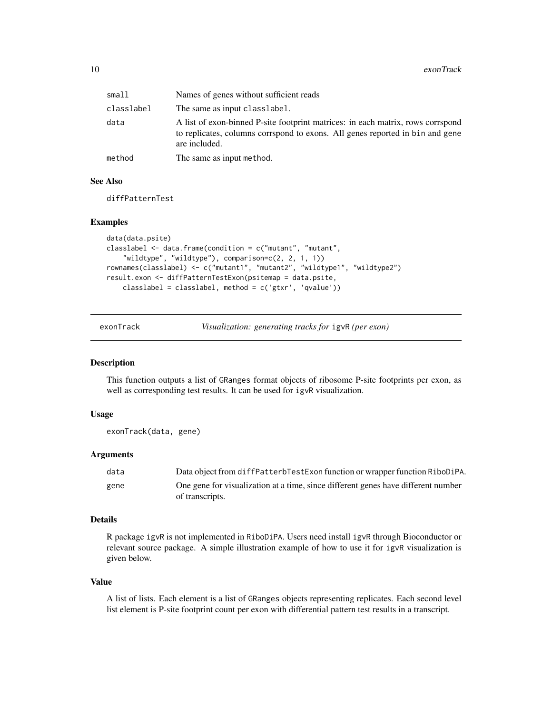<span id="page-9-0"></span>

| small      | Names of genes without sufficient reads                                                                                                                                           |
|------------|-----------------------------------------------------------------------------------------------------------------------------------------------------------------------------------|
| classlabel | The same as input classlabel.                                                                                                                                                     |
| data       | A list of exon-binned P-site footprint matrices: in each matrix, rows corrspond<br>to replicates, columns corrspond to exons. All genes reported in bin and gene<br>are included. |
| method     | The same as input method.                                                                                                                                                         |

#### See Also

diffPatternTest

#### Examples

```
data(data.psite)
classlabel <- data.frame(condition = c("mutant", "mutant",
    "wildtype", "wildtype"), comparison=c(2, 2, 1, 1))
rownames(classlabel) <- c("mutant1", "mutant2", "wildtype1", "wildtype2")
result.exon <- diffPatternTestExon(psitemap = data.psite,
    classlabel = classlabel, method = c('gtxr', 'qvalue'))
```
exonTrack *Visualization: generating tracks for* igvR *(per exon)*

#### Description

This function outputs a list of GRanges format objects of ribosome P-site footprints per exon, as well as corresponding test results. It can be used for igvR visualization.

#### Usage

```
exonTrack(data, gene)
```
#### Arguments

| data | Data object from diffPatterbTestExon function or wrapper function RiboDiPA.       |
|------|-----------------------------------------------------------------------------------|
| gene | One gene for visualization at a time, since different genes have different number |
|      | of transcripts.                                                                   |

#### Details

R package igvR is not implemented in RiboDiPA. Users need install igvR through Bioconductor or relevant source package. A simple illustration example of how to use it for igvR visualization is given below.

#### Value

A list of lists. Each element is a list of GRanges objects representing replicates. Each second level list element is P-site footprint count per exon with differential pattern test results in a transcript.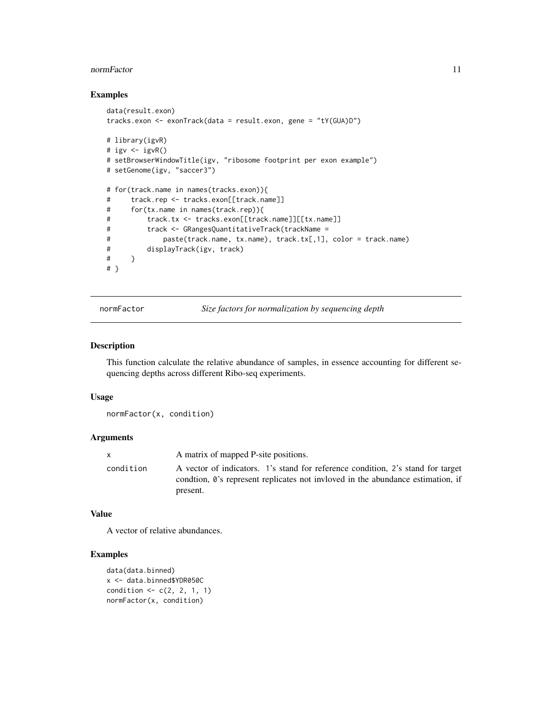#### <span id="page-10-0"></span>normFactor 11

#### Examples

```
data(result.exon)
tracks.exon <- exonTrack(data = result.exon, gene = "tY(GUA)D")
# library(igvR)
# igv \leftarrow igvR()
# setBrowserWindowTitle(igv, "ribosome footprint per exon example")
# setGenome(igv, "saccer3")
# for(track.name in names(tracks.exon)){
# track.rep <- tracks.exon[[track.name]]
# for(tx.name in names(track.rep)){
# track.tx <- tracks.exon[[track.name]][[tx.name]]
# track <- GRangesQuantitativeTrack(trackName =
# paste(track.name, tx.name), track.tx[,1], color = track.name)
# displayTrack(igv, track)
# }
# }
```
normFactor *Size factors for normalization by sequencing depth*

#### Description

This function calculate the relative abundance of samples, in essence accounting for different sequencing depths across different Ribo-seq experiments.

#### Usage

normFactor(x, condition)

#### **Arguments**

|           | A matrix of mapped P-site positions.                                                                                                                                                       |
|-----------|--------------------------------------------------------------------------------------------------------------------------------------------------------------------------------------------|
| condition | A vector of indicators. 1's stand for reference condition, 2's stand for target<br>condition, $\vartheta$ 's represent replicates not invloved in the abundance estimation, if<br>present. |
|           |                                                                                                                                                                                            |

#### Value

A vector of relative abundances.

```
data(data.binned)
x <- data.binned$YDR050C
condition <- c(2, 2, 1, 1)
normFactor(x, condition)
```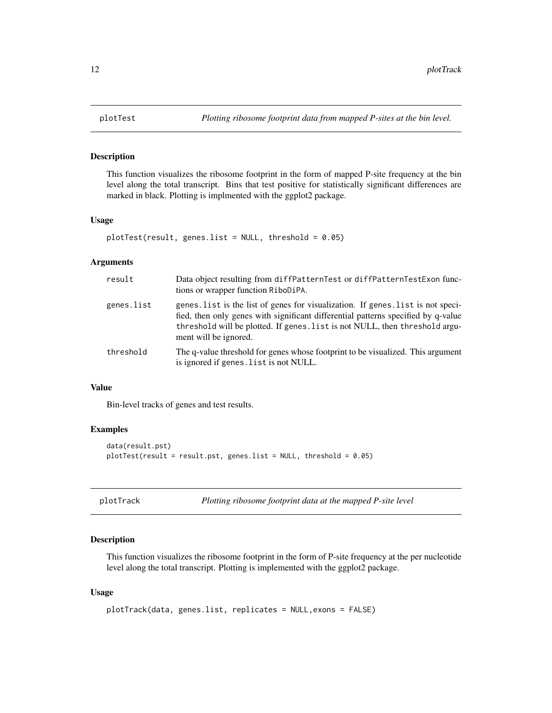<span id="page-11-0"></span>

#### Description

This function visualizes the ribosome footprint in the form of mapped P-site frequency at the bin level along the total transcript. Bins that test positive for statistically significant differences are marked in black. Plotting is implmented with the ggplot2 package.

#### Usage

```
plotTest(result, genes.list = NULL, threshold = 0.05)
```
#### Arguments

| result     | Data object resulting from diffPatternTest or diffPatternTestExon func-<br>tions or wrapper function RiboDiPA.                                                                                                                                                                |
|------------|-------------------------------------------------------------------------------------------------------------------------------------------------------------------------------------------------------------------------------------------------------------------------------|
| genes.list | genes. list is the list of genes for visualization. If genes. list is not speci-<br>fied, then only genes with significant differential patterns specified by q-value<br>threshold will be plotted. If genes. list is not NULL, then threshold argu-<br>ment will be ignored. |
| threshold  | The q-value threshold for genes whose footprint to be visualized. This argument<br>is ignored if genes. list is not NULL.                                                                                                                                                     |

#### Value

Bin-level tracks of genes and test results.

#### Examples

```
data(result.pst)
plotTest(result = result.pst, genes.list = NULL, threshold = 0.05)
```

|  | plotTrack |
|--|-----------|

*Plotting ribosome footprint data at the mapped P-site level* 

#### Description

This function visualizes the ribosome footprint in the form of P-site frequency at the per nucleotide level along the total transcript. Plotting is implemented with the ggplot2 package.

#### Usage

```
plotTrack(data, genes.list, replicates = NULL,exons = FALSE)
```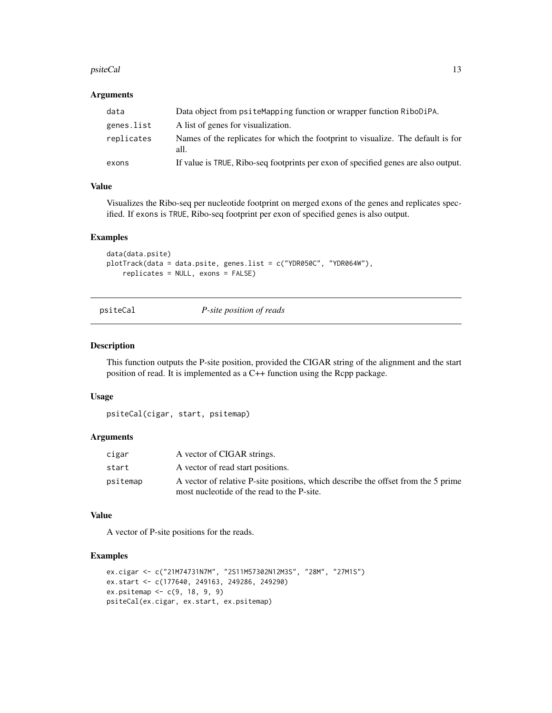#### <span id="page-12-0"></span>psiteCal 13

#### **Arguments**

| data       | Data object from psite Mapping function or wrapper function RiboDiPA.                    |
|------------|------------------------------------------------------------------------------------------|
| genes.list | A list of genes for visualization.                                                       |
| replicates | Names of the replicates for which the footprint to visualize. The default is for<br>all. |
| exons      | If value is TRUE, Ribo-seq footprints per exon of specified genes are also output.       |

#### Value

Visualizes the Ribo-seq per nucleotide footprint on merged exons of the genes and replicates specified. If exons is TRUE, Ribo-seq footprint per exon of specified genes is also output.

#### Examples

```
data(data.psite)
plotTrack(data = data.psite, genes.list = c("YDR050C", "YDR064W"),
    replicates = NULL, exons = FALSE)
```
psiteCal *P-site position of reads*

#### Description

This function outputs the P-site position, provided the CIGAR string of the alignment and the start position of read. It is implemented as a C++ function using the Rcpp package.

#### Usage

psiteCal(cigar, start, psitemap)

#### Arguments

| cigar    | A vector of CIGAR strings.                                                                                                      |
|----------|---------------------------------------------------------------------------------------------------------------------------------|
| start    | A vector of read start positions.                                                                                               |
| psitemap | A vector of relative P-site positions, which describe the offset from the 5 prime<br>most nucleotide of the read to the P-site. |

#### Value

A vector of P-site positions for the reads.

```
ex.cigar <- c("21M74731N7M", "2S11M57302N12M3S", "28M", "27M1S")
ex.start <- c(177640, 249163, 249286, 249290)
ex.psitemap <- c(9, 18, 9, 9)
psiteCal(ex.cigar, ex.start, ex.psitemap)
```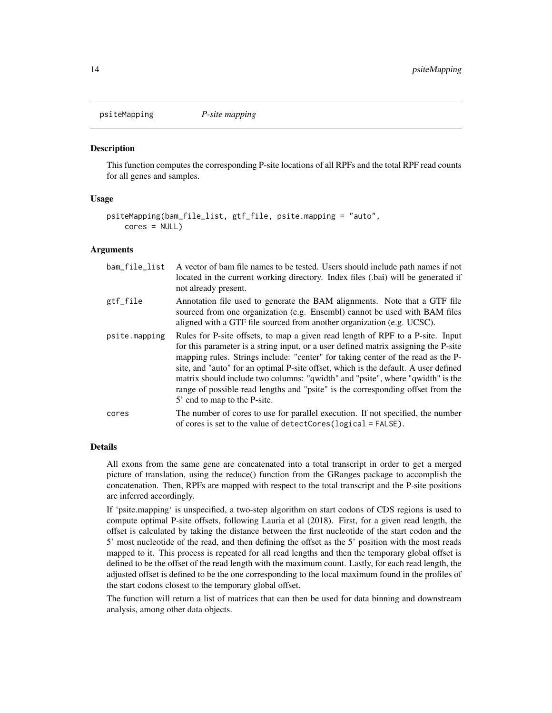<span id="page-13-1"></span><span id="page-13-0"></span>psiteMapping *P-site mapping*

#### **Description**

This function computes the corresponding P-site locations of all RPFs and the total RPF read counts for all genes and samples.

#### Usage

```
psiteMapping(bam_file_list, gtf_file, psite.mapping = "auto",
   cores = NULL)
```
#### Arguments

| bam_file_list | A vector of bam file names to be tested. Users should include path names if not<br>located in the current working directory. Index files (.bai) will be generated if<br>not already present.                                                                                                                                                                                                                                                                                                                                                          |
|---------------|-------------------------------------------------------------------------------------------------------------------------------------------------------------------------------------------------------------------------------------------------------------------------------------------------------------------------------------------------------------------------------------------------------------------------------------------------------------------------------------------------------------------------------------------------------|
| gtf_file      | Annotation file used to generate the BAM alignments. Note that a GTF file<br>sourced from one organization (e.g. Ensembl) cannot be used with BAM files<br>aligned with a GTF file sourced from another organization (e.g. UCSC).                                                                                                                                                                                                                                                                                                                     |
| psite.mapping | Rules for P-site offsets, to map a given read length of RPF to a P-site. Input<br>for this parameter is a string input, or a user defined matrix assigning the P-site<br>mapping rules. Strings include: "center" for taking center of the read as the P-<br>site, and "auto" for an optimal P-site offset, which is the default. A user defined<br>matrix should include two columns: "qwidth" and "psite", where "qwidth" is the<br>range of possible read lengths and "psite" is the corresponding offset from the<br>5' end to map to the P-site. |
| cores         | The number of cores to use for parallel execution. If not specified, the number<br>of cores is set to the value of detectCores (logical = FALSE).                                                                                                                                                                                                                                                                                                                                                                                                     |

#### Details

All exons from the same gene are concatenated into a total transcript in order to get a merged picture of translation, using the reduce() function from the GRanges package to accomplish the concatenation. Then, RPFs are mapped with respect to the total transcript and the P-site positions are inferred accordingly.

If 'psite.mapping' is unspecified, a two-step algorithm on start codons of CDS regions is used to compute optimal P-site offsets, following Lauria et al (2018). First, for a given read length, the offset is calculated by taking the distance between the first nucleotide of the start codon and the 5' most nucleotide of the read, and then defining the offset as the 5' position with the most reads mapped to it. This process is repeated for all read lengths and then the temporary global offset is defined to be the offset of the read length with the maximum count. Lastly, for each read length, the adjusted offset is defined to be the one corresponding to the local maximum found in the profiles of the start codons closest to the temporary global offset.

The function will return a list of matrices that can then be used for data binning and downstream analysis, among other data objects.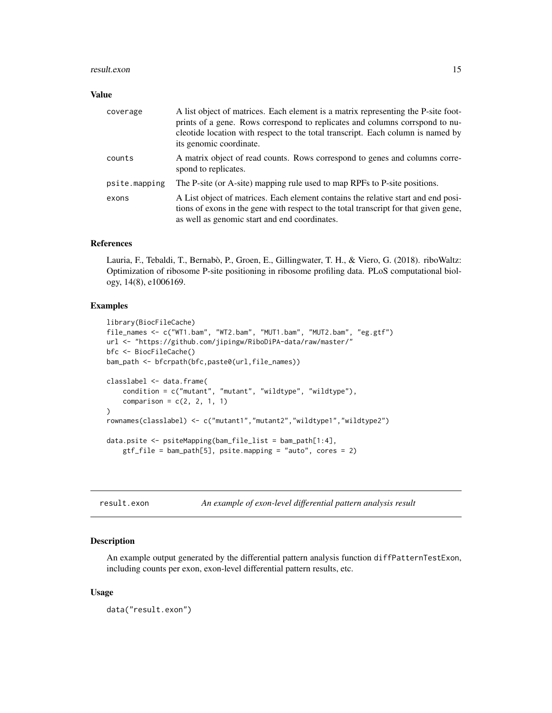#### <span id="page-14-0"></span>result.exon 15

#### Value

| coverage      | A list object of matrices. Each element is a matrix representing the P-site foot-<br>prints of a gene. Rows correspond to replicates and columns corrspond to nu-<br>cleotide location with respect to the total transcript. Each column is named by<br>its genomic coordinate. |
|---------------|---------------------------------------------------------------------------------------------------------------------------------------------------------------------------------------------------------------------------------------------------------------------------------|
| counts        | A matrix object of read counts. Rows correspond to genes and columns corre-<br>spond to replicates.                                                                                                                                                                             |
| psite.mapping | The P-site (or A-site) mapping rule used to map RPFs to P-site positions.                                                                                                                                                                                                       |
| exons         | A List object of matrices. Each element contains the relative start and end posi-<br>tions of exons in the gene with respect to the total transcript for that given gene,<br>as well as genomic start and end coordinates.                                                      |

#### References

Lauria, F., Tebaldi, T., Bernabò, P., Groen, E., Gillingwater, T. H., & Viero, G. (2018). riboWaltz: Optimization of ribosome P-site positioning in ribosome profiling data. PLoS computational biology, 14(8), e1006169.

#### Examples

```
library(BiocFileCache)
file_names <- c("WT1.bam", "WT2.bam", "MUT1.bam", "MUT2.bam", "eg.gtf")
url <- "https://github.com/jipingw/RiboDiPA-data/raw/master/"
bfc <- BiocFileCache()
bam_path <- bfcrpath(bfc,paste0(url,file_names))
classlabel <- data.frame(
   condition = c("mutant", "mutant", "wildtype", "wildtype"),
    comparison = c(2, 2, 1, 1)\mathcal{L}rownames(classlabel) <- c("mutant1","mutant2","wildtype1","wildtype2")
data.psite <- psiteMapping(bam_file_list = bam_path[1:4],
    gtf_file = bam_path[5], psite.mapping = "auto", cores = 2)
```
result.exon *An example of exon-level differential pattern analysis result*

#### Description

An example output generated by the differential pattern analysis function diffPatternTestExon, including counts per exon, exon-level differential pattern results, etc.

#### Usage

data("result.exon")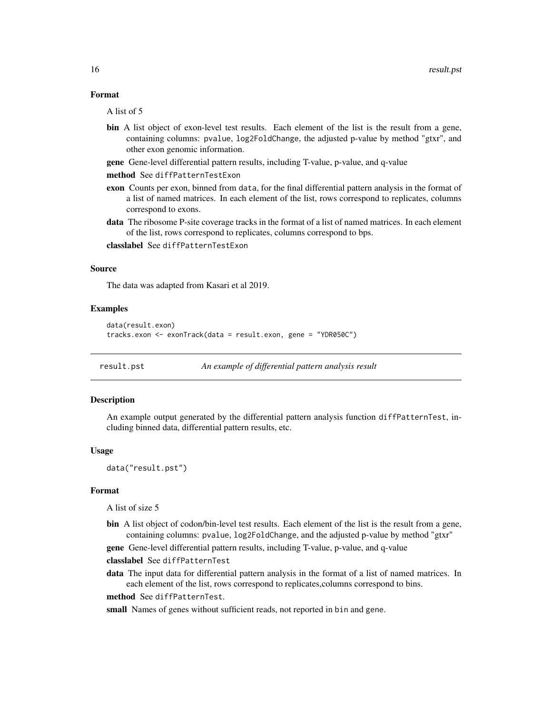#### <span id="page-15-0"></span>Format

A list of 5

- bin A list object of exon-level test results. Each element of the list is the result from a gene, containing columns: pvalue, log2FoldChange, the adjusted p-value by method "gtxr", and other exon genomic information.
- gene Gene-level differential pattern results, including T-value, p-value, and q-value
- method See diffPatternTestExon
- exon Counts per exon, binned from data, for the final differential pattern analysis in the format of a list of named matrices. In each element of the list, rows correspond to replicates, columns correspond to exons.
- data The ribosome P-site coverage tracks in the format of a list of named matrices. In each element of the list, rows correspond to replicates, columns correspond to bps.
- classlabel See diffPatternTestExon

#### Source

The data was adapted from Kasari et al 2019.

#### Examples

```
data(result.exon)
tracks.exon <- exonTrack(data = result.exon, gene = "YDR050C")
```
result.pst *An example of differential pattern analysis result*

#### **Description**

An example output generated by the differential pattern analysis function diffPatternTest, including binned data, differential pattern results, etc.

#### Usage

data("result.pst")

#### Format

A list of size 5

bin A list object of codon/bin-level test results. Each element of the list is the result from a gene, containing columns: pvalue, log2FoldChange, and the adjusted p-value by method "gtxr"

gene Gene-level differential pattern results, including T-value, p-value, and q-value classlabel See diffPatternTest

data The input data for differential pattern analysis in the format of a list of named matrices. In each element of the list, rows correspond to replicates,columns correspond to bins.

method See diffPatternTest.

small Names of genes without sufficient reads, not reported in bin and gene.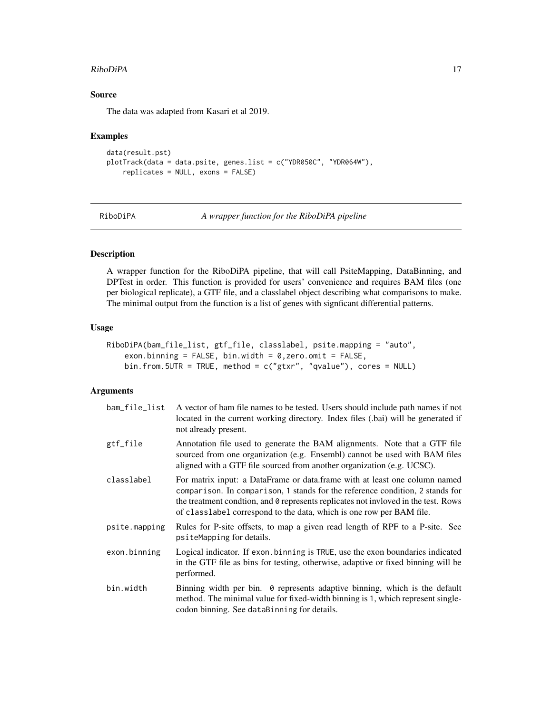#### <span id="page-16-0"></span>RiboDiPA 2009 2012 17

#### Source

The data was adapted from Kasari et al 2019.

#### Examples

```
data(result.pst)
plotTrack(data = data.psite, genes.list = c("YDR050C", "YDR064W"),
   replicates = NULL, exons = FALSE)
```
RiboDiPA *A wrapper function for the RiboDiPA pipeline*

#### Description

A wrapper function for the RiboDiPA pipeline, that will call PsiteMapping, DataBinning, and DPTest in order. This function is provided for users' convenience and requires BAM files (one per biological replicate), a GTF file, and a classlabel object describing what comparisons to make. The minimal output from the function is a list of genes with signficant differential patterns.

#### Usage

```
RiboDiPA(bam_file_list, gtf_file, classlabel, psite.mapping = "auto",
   exon.binning = FALSE, bin.width = 0, zero.omit = FALSE,bin.from.5UTR = TRUE, method = c("gtxr", "qvalue"), cores = NULL)
```
#### Arguments

| bam_file_list | A vector of bam file names to be tested. Users should include path names if not<br>located in the current working directory. Index files (.bai) will be generated if<br>not already present.                                                                                                                                      |
|---------------|-----------------------------------------------------------------------------------------------------------------------------------------------------------------------------------------------------------------------------------------------------------------------------------------------------------------------------------|
| gtf_file      | Annotation file used to generate the BAM alignments. Note that a GTF file<br>sourced from one organization (e.g. Ensembl) cannot be used with BAM files<br>aligned with a GTF file sourced from another organization (e.g. UCSC).                                                                                                 |
| classlabel    | For matrix input: a DataFrame or data.frame with at least one column named<br>comparison. In comparison, 1 stands for the reference condition, 2 stands for<br>the treatment condition, and $\theta$ represents replicates not invloved in the test. Rows<br>of classlabel correspond to the data, which is one row per BAM file. |
| psite.mapping | Rules for P-site offsets, to map a given read length of RPF to a P-site. See<br>psiteMapping for details.                                                                                                                                                                                                                         |
| exon.binning  | Logical indicator. If exon binning is TRUE, use the exon boundaries indicated<br>in the GTF file as bins for testing, otherwise, adaptive or fixed binning will be<br>performed.                                                                                                                                                  |
| bin.width     | Binning width per bin. 0 represents adaptive binning, which is the default<br>method. The minimal value for fixed-width binning is 1, which represent single-<br>codon binning. See dataBinning for details.                                                                                                                      |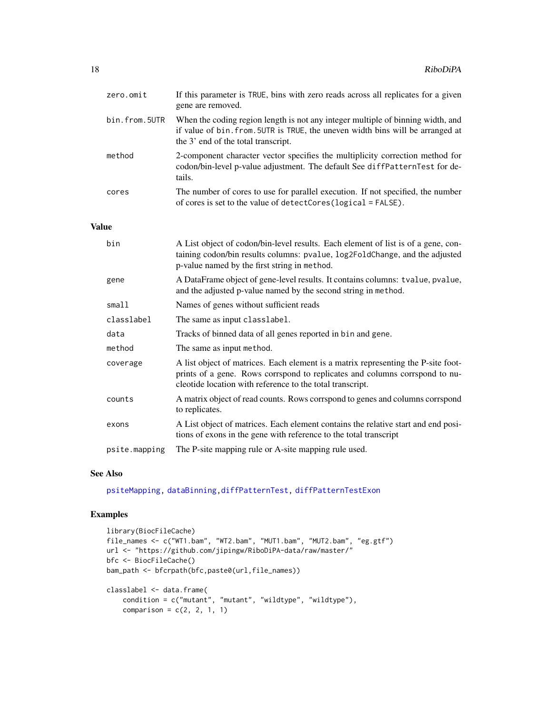<span id="page-17-0"></span>

| zero.omit     | If this parameter is TRUE, bins with zero reads across all replicates for a given<br>gene are removed.                                                                                                   |
|---------------|----------------------------------------------------------------------------------------------------------------------------------------------------------------------------------------------------------|
| bin.from.5UTR | When the coding region length is not any integer multiple of binning width, and<br>if value of bin. from. 5UTR is TRUE, the uneven width bins will be arranged at<br>the 3' end of the total transcript. |
| method        | 2-component character vector specifies the multiplicity correction method for<br>codon/bin-level p-value adjustment. The default See diffPatternTest for de-<br>tails.                                   |
| cores         | The number of cores to use for parallel execution. If not specified, the number<br>of cores is set to the value of detectCores ( $logical = FALSE$ ).                                                    |

#### Value

| bin           | A List object of codon/bin-level results. Each element of list is of a gene, con-<br>taining codon/bin results columns: pvalue, log2FoldChange, and the adjusted<br>p-value named by the first string in method.              |
|---------------|-------------------------------------------------------------------------------------------------------------------------------------------------------------------------------------------------------------------------------|
| gene          | A DataFrame object of gene-level results. It contains columns: tvalue, pvalue,<br>and the adjusted p-value named by the second string in method.                                                                              |
| small1        | Names of genes without sufficient reads                                                                                                                                                                                       |
| classlabel    | The same as input classlabel.                                                                                                                                                                                                 |
| data          | Tracks of binned data of all genes reported in bin and gene.                                                                                                                                                                  |
| method        | The same as input method.                                                                                                                                                                                                     |
| coverage      | A list object of matrices. Each element is a matrix representing the P-site foot-<br>prints of a gene. Rows corrspond to replicates and columns corrspond to nu-<br>cleotide location with reference to the total transcript. |
| counts        | A matrix object of read counts. Rows corrspond to genes and columns corrspond<br>to replicates.                                                                                                                               |
| exons         | A List object of matrices. Each element contains the relative start and end posi-<br>tions of exons in the gene with reference to the total transcript                                                                        |
| psite.mapping | The P-site mapping rule or A-site mapping rule used.                                                                                                                                                                          |

#### See Also

[psiteMapping,](#page-13-1) [dataBinning](#page-5-1)[,diffPatternTest,](#page-6-1) [diffPatternTestExon](#page-8-1)

```
library(BiocFileCache)
file_names <- c("WT1.bam", "WT2.bam", "MUT1.bam", "MUT2.bam", "eg.gtf")
url <- "https://github.com/jipingw/RiboDiPA-data/raw/master/"
bfc <- BiocFileCache()
bam_path <- bfcrpath(bfc,paste0(url,file_names))
classlabel <- data.frame(
   condition = c("mutant", "mutant", "wildtype", "wildtype"),
    comparison = c(2, 2, 1, 1)
```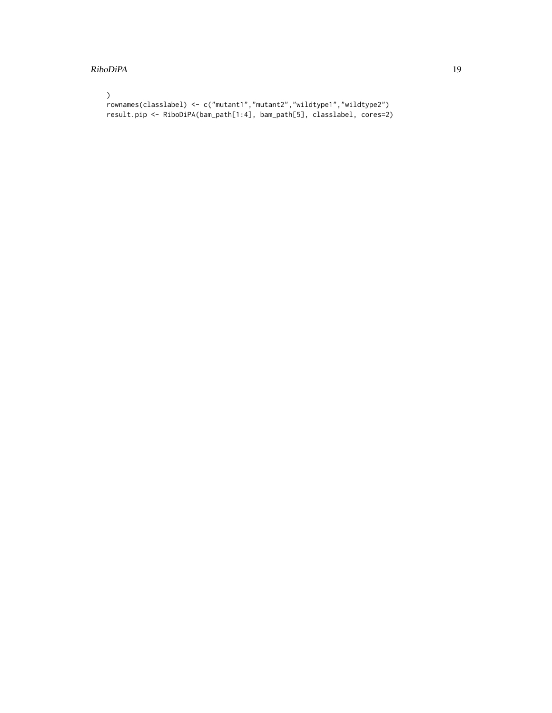#### RiboDiPA 19

```
\mathcal{L}rownames(classlabel) <- c("mutant1","mutant2","wildtype1","wildtype2")
result.pip <- RiboDiPA(bam_path[1:4], bam_path[5], classlabel, cores=2)
```